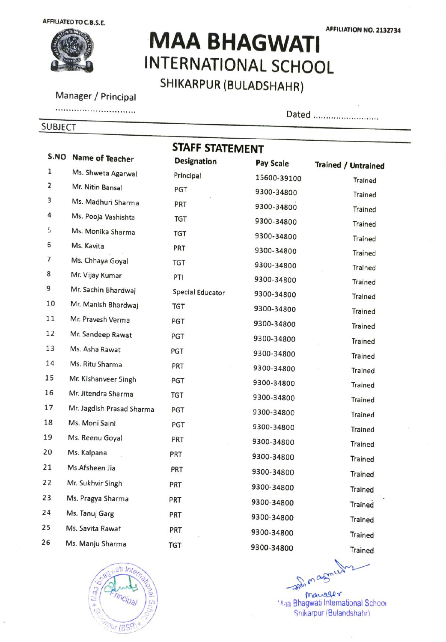AFFILIATEDTO C.B.S.E.



## MAA BHAGWATI INTERNATIONAL SCHOOL SHIKARPUR (BULADSHAHR)

Manager / Principal

SUBJECT

Dated ...........................

|      | STAFF STATEMENT           |                         |             |                            |
|------|---------------------------|-------------------------|-------------|----------------------------|
| S.NO | Name of Teacher           | <b>Designation</b>      | Pay Scale   | <b>Trained / Untrained</b> |
| 1    | Ms. Shweta Agarwal        | Principal               | 15600-39100 | Trained                    |
| 2    | Mr. Nitin Bansal          | PGT                     | 9300-34800  | Trained                    |
| З    | Ms. Madhuri Sharma        | PRT                     | 9300-34800  | <b>Trained</b>             |
| 4    | Ms. Pooja Vashishta       | <b>TGT</b>              | 9300-34800  | <b>Trained</b>             |
| S    | Ms. Monika Sharma         | <b>TGT</b>              | 9300-34800  | Trained                    |
| 6    | Ms. Kavita                | PRT                     | 9300-34800  | <b>Trained</b>             |
| 7    | Ms. Chhaya Goyal          | <b>TGT</b>              | 9300-34800  | Trained                    |
| 8    | Mr. Vijay Kumar           | PTI                     | 9300-34800  | Trained                    |
| 9    | Mr. Sachin Bhardwaj       | <b>Special Educator</b> | 9300-34800  | Trained                    |
| 10   | Mr. Manish Bhardwaj       | <b>TGT</b>              | 9300-34800  | <b>Trained</b>             |
| 11   | Mr. Pravesh Verma         | PGT                     | 9300-34800  | <b>Trained</b>             |
| 12   | Mr. Sandeep Rawat         | PGT                     | 9300-34800  | Trained                    |
| 13   | Ms. Asha Rawat            | PGT                     | 9300-34800  | Trained                    |
| 14   | Ms. Ritu Sharma           | PRT                     | 9300-34800  | Trained                    |
| 15   | Mr. Kishanveer Singh      | PGT                     | 9300-34800  | <b>Trained</b>             |
| 16   | Mr. Jitendra Sharma       | <b>TGT</b>              | 9300-34800  | <b>Trained</b>             |
| 17   | Mr. Jagdish Prasad Sharma | PGT                     | 9300-34800  | Trained                    |
| 18   | Ms. Moni Saini            | PGT                     | 9300-34800  | <b>Trained</b>             |
| 19   | Ms. Reenu Goyal           | PRT                     | 9300-34800  | Trained                    |
| 20   | Ms. Kalpana               | PRT                     | 9300-34800  | Trained                    |
| 21   | Ms.Afsheen Jia            | PRT                     | 9300-34800  |                            |
| 22   | Mr. Sukhvir Singh         | PRT                     | 9300-34800  | Trained                    |
| 23   | Ms. Pragya Sharma         | PRT                     |             | Trained                    |
| 24   | Ms. Tanuj Garg            | PRT                     | 9300-34800  | <b>Trained</b>             |
| 25   | Ms. Savita Rawat          |                         | 9300-34800  | <b>Trained</b>             |
| 26   | Ms. Manju Sharma          | PRT                     | 9300-34800  | <b>Trained</b>             |
|      |                           | TGT                     | 9300-34800  | <b>Trained</b>             |



manager **Maa Bhagwati International School** Shikarpur (Bulandshahr)

AFFILIATION NO. 2132734